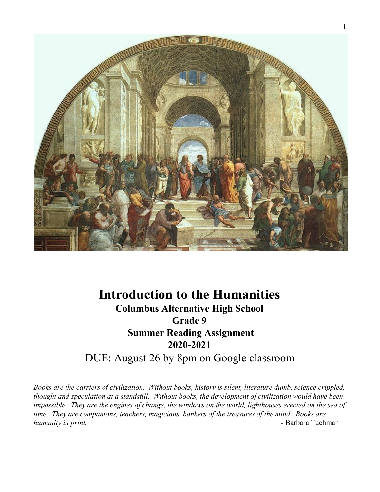

# **Introduction to the Humanities Columbus Alternative High School Grade 9 Summer Reading Assignment 2020-2021** DUE: August 26 by 8pm on Google classroom

*Books are the carriers of civilization. Without books, history is silent, literature dumb, science crippled, thought and speculation at a standstill. Without books, the development of civilization would have been impossible. They are the engines of change, the windows on the world, lighthouses erected on the sea of time. They are companions, teachers, magicians, bankers of the treasures of the mind. Books are humanity in print.* **and** *humanity in print.*  $\blacksquare$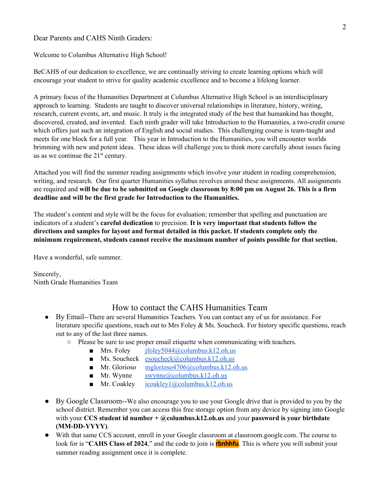Dear Parents and CAHS Ninth Graders:

Welcome to Columbus Alternative High School!

BeCAHS of our dedication to excellence, we are continually striving to create learning options which will encourage your student to strive for quality academic excellence and to become a lifelong learner.

A primary focus of the Humanities Department at Columbus Alternative High School is an interdisciplinary approach to learning. Students are taught to discover universal relationships in literature, history, writing, research, current events, art, and music. It truly is the integrated study of the best that humankind has thought, discovered, created, and invented. Each ninth grader will take Introduction to the Humanities, a two-credit course which offers just such an integration of English and social studies. This challenging course is team-taught and meets for one block for a full year. This year in Introduction to the Humanities, you will encounter worlds brimming with new and potent ideas. These ideas will challenge you to think more carefully about issues facing us as we continue the  $21<sup>st</sup>$  century.

Attached you will find the summer reading assignments which involve your student in reading comprehension, writing, and research. Our first quarter Humanities syllabus revolves around these assignments. All assignments are required and will be due to be submitted on Google classroom by 8:00 pm on August 26. This is a firm **deadline and will be the first grade for Introduction to the Humanities.**

The student's content and style will be the focus for evaluation; remember that spelling and punctuation are indicators of a student's **careful dedication** to precision. **It is very important that students follow the directions and samples for layout and format detailed in this packet. If students complete only the minimum requirement, students cannot receive the maximum number of points possible for that section.**

Have a wonderful, safe summer.

Sincerely, Ninth Grade Humanities Team

# How to contact the CAHS Humanities Team

- By Email--There are several Humanities Teachers. You can contact any of us for assistance. For literature specific questions, reach out to Mrs Foley & Ms. Soucheck. For history specific questions, reach out to any of the last three names.
	- Please be sure to use proper email etiquette when communicating with teachers.
		- **Mrs.** Foley  $i$  foley 5044@columbus.k12.oh.us
		- $\blacksquare$  Ms. Soucheck [esoucheck@columbus.k12.oh.us](mailto:esoucheck@columbus.k12.oh.us)
		- Mr. Glorioso [mglorioso4706@columbus.k12.oh.us](mailto:mglorioso4706@columbus.k12.oh.us)
		- **Mr.** Wynne  $\omega$  swynne  $\omega$  columbus.k12.oh.us
		- **Mr.** Coakley [icoakley1@columbus.k12.oh.us](mailto:icoakley1@columbus.k12.oh.us)
- By Google Classroom--We also encourage you to use your Google drive that is provided to you by the school district. Remember you can access this free storage option from any device by signing into Google with your **CCS student id number + @columbus.k12.oh.us** and your **password is your birthdate (MM-DD-YYYY)**.
- With that same CCS account, enroll in your Google classroom at classroom.google.com. The course to look for is "**CAHS Class of 2024**," and the code to join is **rbnhhfu**. This is where you will submit your summer reading assignment once it is complete.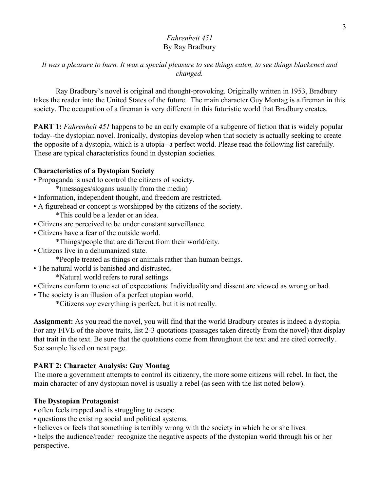# *Fahrenheit 451* By Ray Bradbury

# *It was a pleasure to burn. It was a special pleasure to see things eaten, to see things blackened and changed.*

Ray Bradbury's novel is original and thought-provoking. Originally written in 1953, Bradbury takes the reader into the United States of the future. The main character Guy Montag is a fireman in this society. The occupation of a fireman is very different in this futuristic world that Bradbury creates.

**PART 1:** *Fahrenheit 451* happens to be an early example of a subgenre of fiction that is widely popular today--the dystopian novel. Ironically, dystopias develop when that society is actually seeking to create the opposite of a dystopia, which is a utopia--a perfect world. Please read the following list carefully. These are typical characteristics found in dystopian societies.

## **Characteristics of a Dystopian Society**

- Propaganda is used to control the citizens of society.
	- \*(messages/slogans usually from the media)
- Information, independent thought, and freedom are restricted.
- A figurehead or concept is worshipped by the citizens of the society.
	- \*This could be a leader or an idea.
- Citizens are perceived to be under constant surveillance.
- Citizens have a fear of the outside world.
	- \*Things/people that are different from their world/city.
- Citizens live in a dehumanized state.
	- \*People treated as things or animals rather than human beings.
- The natural world is banished and distrusted.
	- \*Natural world refers to rural settings
- Citizens conform to one set of expectations. Individuality and dissent are viewed as wrong or bad.
- The society is an illusion of a perfect utopian world.

\*Citizens *say* everything is perfect, but it is not really.

**Assignment:** As you read the novel, you will find that the world Bradbury creates is indeed a dystopia. For any FIVE of the above traits, list 2-3 quotations (passages taken directly from the novel) that display that trait in the text. Be sure that the quotations come from throughout the text and are cited correctly. See sample listed on next page.

## **PART 2: Character Analysis: Guy Montag**

The more a government attempts to control its citizenry, the more some citizens will rebel. In fact, the main character of any dystopian novel is usually a rebel (as seen with the list noted below).

## **The Dystopian Protagonist**

- often feels trapped and is struggling to escape.
- questions the existing social and political systems.
- believes or feels that something is terribly wrong with the society in which he or she lives.

• helps the audience/reader recognize the negative aspects of the dystopian world through his or her perspective.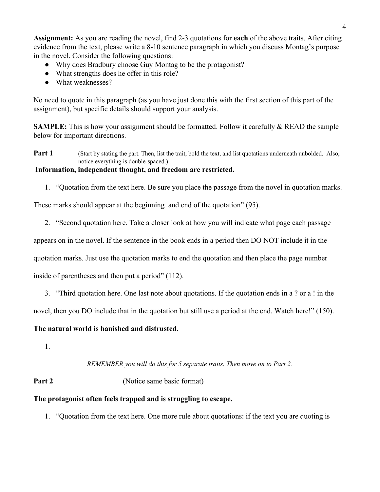**Assignment:** As you are reading the novel, find 2-3 quotations for **each** of the above traits. After citing evidence from the text, please write a 8-10 sentence paragraph in which you discuss Montag's purpose in the novel. Consider the following questions:

- Why does Bradbury choose Guy Montag to be the protagonist?
- What strengths does he offer in this role?
- What weaknesses?

No need to quote in this paragraph (as you have just done this with the first section of this part of the assignment), but specific details should support your analysis.

**SAMPLE:** This is how your assignment should be formatted. Follow it carefully & READ the sample below for important directions.

**Part 1** (Start by stating the part. Then, list the trait, bold the text, and list quotations underneath unbolded. Also, notice everything is double-spaced.)

## **Information, independent thought, and freedom are restricted.**

1. "Quotation from the text here. Be sure you place the passage from the novel in quotation marks.

These marks should appear at the beginning and end of the quotation" (95).

2. "Second quotation here. Take a closer look at how you will indicate what page each passage

appears on in the novel. If the sentence in the book ends in a period then DO NOT include it in the

quotation marks. Just use the quotation marks to end the quotation and then place the page number

inside of parentheses and then put a period" (112).

3. "Third quotation here. One last note about quotations. If the quotation ends in a ? or a ! in the

novel, then you DO include that in the quotation but still use a period at the end. Watch here!" (150).

## **The natural world is banished and distrusted.**

1.

## *REMEMBER you will do this for 5 separate traits. Then move on to Part 2.*

# **Part 2** (Notice same basic format)

## **The protagonist often feels trapped and is struggling to escape.**

1. "Quotation from the text here. One more rule about quotations: if the text you are quoting is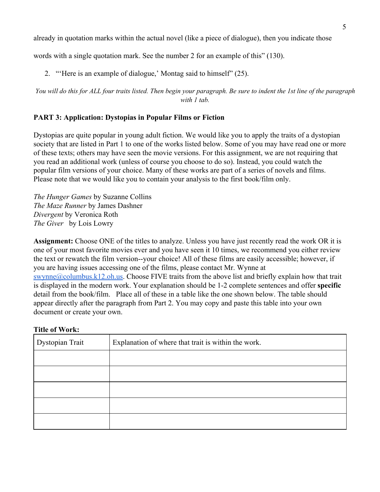already in quotation marks within the actual novel (like a piece of dialogue), then you indicate those

words with a single quotation mark. See the number 2 for an example of this" (130).

2. "'Here is an example of dialogue,' Montag said to himself" (25).

You will do this for ALL four traits listed. Then begin your paragraph. Be sure to indent the 1st line of the paragraph *with 1 tab.*

# **PART 3: Application: Dystopias in Popular Films or Fiction**

Dystopias are quite popular in young adult fiction. We would like you to apply the traits of a dystopian society that are listed in Part 1 to one of the works listed below. Some of you may have read one or more of these texts; others may have seen the movie versions. For this assignment, we are not requiring that you read an additional work (unless of course you choose to do so). Instead, you could watch the popular film versions of your choice. Many of these works are part of a series of novels and films. Please note that we would like you to contain your analysis to the first book/film only.

*The Hunger Games* by Suzanne Collins *The Maze Runner* by James Dashner *Divergent* by Veronica Roth *The Giver* by Lois Lowry

**Assignment:** Choose ONE of the titles to analyze. Unless you have just recently read the work OR it is one of your most favorite movies ever and you have seen it 10 times, we recommend you either review the text or rewatch the film version--your choice! All of these films are easily accessible; however, if you are having issues accessing one of the films, please contact Mr. Wynne at [swynne@columbus.k12.oh.us](mailto:swynne@columbus.k12.oh.us). Choose FIVE traits from the above list and briefly explain how that trait is displayed in the modern work. Your explanation should be 1-2 complete sentences and offer **specific** detail from the book/film. Place all of these in a table like the one shown below. The table should appear directly after the paragraph from Part 2. You may copy and paste this table into your own document or create your own.

## **Title of Work:**

| Dystopian Trait | Explanation of where that trait is within the work. |
|-----------------|-----------------------------------------------------|
|                 |                                                     |
|                 |                                                     |
|                 |                                                     |
|                 |                                                     |
|                 |                                                     |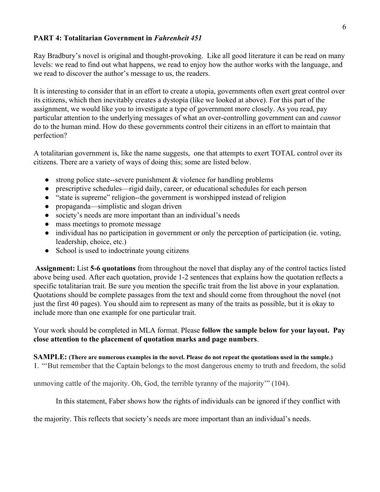## **PART 4: Totalitarian Government in** *Fahrenheit 451*

Ray Bradbury's novel is original and thought-provoking. Like all good literature it can be read on many levels: we read to find out what happens, we read to enjoy how the author works with the language, and we read to discover the author's message to us, the readers.

It is interesting to consider that in an effort to create a utopia, governments often exert great control over its citizens, which then inevitably creates a dystopia (like we looked at above). For this part of the assignment, we would like you to investigate a type of government more closely. As you read, pay particular attention to the underlying messages of what an over-controlling government can and *cannot* do to the human mind. How do these governments control their citizens in an effort to maintain that perfection?

A totalitarian government is, like the name suggests, one that attempts to exert TOTAL control over its citizens. There are a variety of ways of doing this; some are listed below.

- strong police state--severe punishment & violence for handling problems
- prescriptive schedules—rigid daily, career, or educational schedules for each person
- "state is supreme" religion--the government is worshipped instead of religion
- propaganda—simplistic and slogan driven
- society's needs are more important than an individual's needs
- mass meetings to promote message
- individual has no participation in government or only the perception of participation (ie. voting, leadership, choice, etc.)
- School is used to indoctrinate young citizens

**Assignment:** List **5-6 quotations** from throughout the novel that display any of the control tactics listed above being used. After each quotation, provide 1-2 sentences that explains how the quotation reflects a specific totalitarian trait. Be sure you mention the specific trait from the list above in your explanation. Quotations should be complete passages from the text and should come from throughout the novel (not just the first 40 pages). You should aim to represent as many of the traits as possible, but it is okay to include more than one example for one particular trait.

Your work should be completed in MLA format. Please **follow the sample below for your layout. Pay close attention to the placement of quotation marks and page numbers**.

# **SAMPLE:** (There are numerous examples in the novel. Please do not repeat the quotations used in the sample.)

1. "'But remember that the Captain belongs to the most dangerous enemy to truth and freedom, the solid

unmoving cattle of the majority. Oh, God, the terrible tyranny of the majority'" (104).

In this statement, Faber shows how the rights of individuals can be ignored if they conflict with

the majority. This reflects that society's needs are more important than an individual's needs.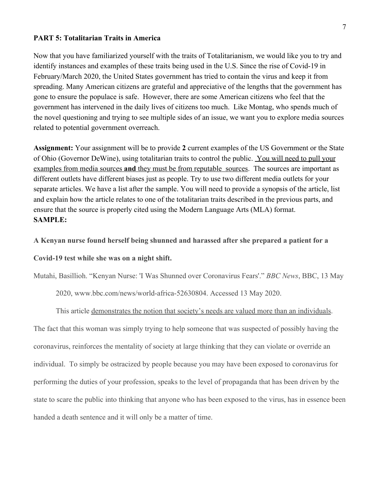#### **PART 5: Totalitarian Traits in America**

Now that you have familiarized yourself with the traits of Totalitarianism, we would like you to try and identify instances and examples of these traits being used in the U.S. Since the rise of Covid-19 in February/March 2020, the United States government has tried to contain the virus and keep it from spreading. Many American citizens are grateful and appreciative of the lengths that the government has gone to ensure the populace is safe. However, there are some American citizens who feel that the government has intervened in the daily lives of citizens too much. Like Montag, who spends much of the novel questioning and trying to see multiple sides of an issue, we want you to explore media sources related to potential government overreach.

**Assignment:** Your assignment will be to provide **2** current examples of the US Government or the State of Ohio (Governor DeWine), using totalitarian traits to control the public. You will need to pull your examples from media sources **and** they must be from reputable sources. The sources are important as different outlets have different biases just as people. Try to use two different media outlets for your separate articles. We have a list after the sample. You will need to provide a synopsis of the article, list and explain how the article relates to one of the totalitarian traits described in the previous parts, and ensure that the source is properly cited using the Modern Language Arts (MLA) format. **SAMPLE:**

**A Kenyan nurse found herself being shunned and harassed after she prepared a patient for a**

**Covid-19 test while she was on a night shift.**

Mutahi, Basillioh. "Kenyan Nurse: 'I Was Shunned over Coronavirus Fears'." *BBC News*, BBC, 13 May

2020, www.bbc.com/news/world-africa-52630804. Accessed 13 May 2020.

This article demonstrates the notion that society's needs are valued more than an individuals.

The fact that this woman was simply trying to help someone that was suspected of possibly having the coronavirus, reinforces the mentality of society at large thinking that they can violate or override an individual. To simply be ostracized by people because you may have been exposed to coronavirus for performing the duties of your profession, speaks to the level of propaganda that has been driven by the state to scare the public into thinking that anyone who has been exposed to the virus, has in essence been handed a death sentence and it will only be a matter of time.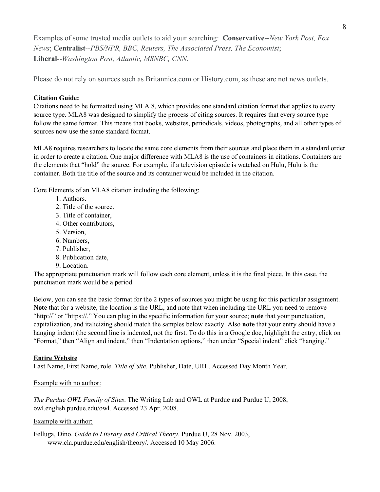Examples of some trusted media outlets to aid your searching: **Conservative**--*New York Post, Fox News*; **Centralist**--*PBS/NPR, BBC, Reuters, The Associated Press, The Economist*; **Liberal**--*Washington Post, Atlantic, MSNBC, CNN*.

Please do not rely on sources such as Britannica.com or History.com, as these are not news outlets.

#### **Citation Guide:**

Citations need to be formatted using MLA 8, which provides one standard citation format that applies to every source type. MLA8 was designed to simplify the process of citing sources. It requires that every source type follow the same format. This means that books, websites, periodicals, videos, photographs, and all other types of sources now use the same standard format.

MLA8 requires researchers to locate the same core elements from their sources and place them in a standard order in order to create a citation. One major difference with MLA8 is the use of containers in citations. Containers are the elements that "hold" the source. For example, if a television episode is watched on Hulu, Hulu is the container. Both the title of the source and its container would be included in the citation.

Core Elements of an MLA8 citation including the following:

- 1. Authors.
- 2. Title of the source.
- 3. Title of container,
- 4. Other contributors,
- 5. Version,
- 6. Numbers,
- 7. Publisher,
- 8. Publication date,
- 9. Location.

The appropriate punctuation mark will follow each core element, unless it is the final piece. In this case, the punctuation mark would be a period.

Below, you can see the basic format for the 2 types of sources you might be using for this particular assignment. **Note** that for a website, the location is the URL, and note that when including the URL you need to remove "http://" or "https://." You can plug in the specific information for your source; **note** that your punctuation, capitalization, and italicizing should match the samples below exactly. Also **note** that your entry should have a hanging indent (the second line is indented, not the first. To do this in a Google doc, highlight the entry, click on "Format," then "Align and indent," then "Indentation options," then under "Special indent" click "hanging."

#### **Entire Website**

Last Name, First Name, role. *Title of Site*. Publisher, Date, URL. Accessed Day Month Year.

#### Example with no author:

*The Purdue OWL Family of Sites*. The Writing Lab and OWL at Purdue and Purdue U, 2008, owl.english.purdue.edu/owl. Accessed 23 Apr. 2008.

#### Example with author:

Felluga, Dino. *Guide to Literary and Critical Theory*. Purdue U, 28 Nov. 2003, www.cla.purdue.edu/english/theory/. Accessed 10 May 2006.